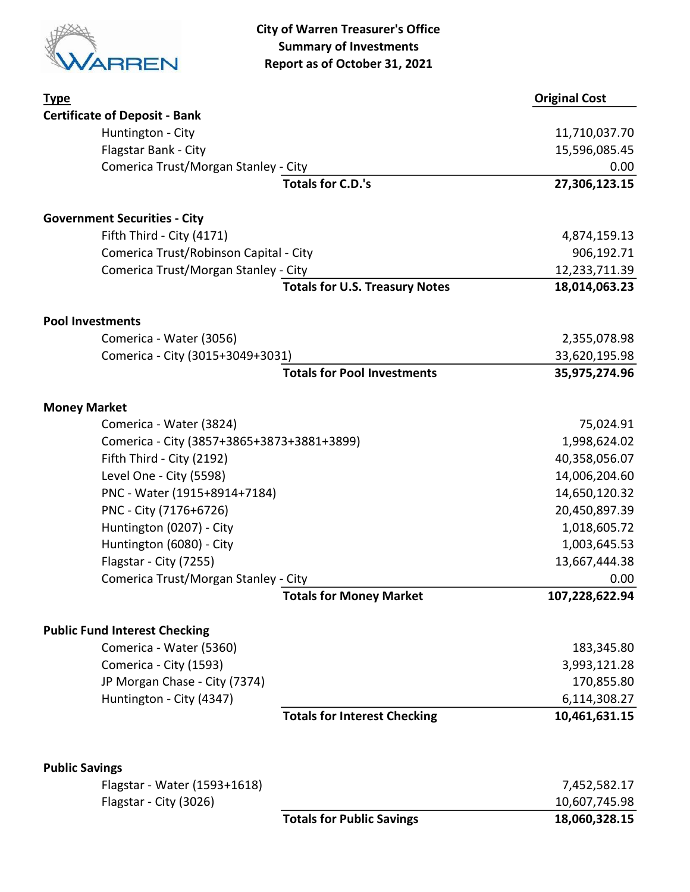

City of Warren Treasurer's Office Summary of Investments Report as of October 31, 2021

| <b>Type</b>                                           |                                       | <b>Original Cost</b> |
|-------------------------------------------------------|---------------------------------------|----------------------|
| <b>Certificate of Deposit - Bank</b>                  |                                       |                      |
| Huntington - City                                     |                                       | 11,710,037.70        |
| Flagstar Bank - City                                  |                                       | 15,596,085.45        |
| Comerica Trust/Morgan Stanley - City                  |                                       | 0.00                 |
|                                                       | <b>Totals for C.D.'s</b>              | 27,306,123.15        |
| <b>Government Securities - City</b>                   |                                       |                      |
| Fifth Third - City (4171)                             |                                       | 4,874,159.13         |
| Comerica Trust/Robinson Capital - City                |                                       | 906,192.71           |
| Comerica Trust/Morgan Stanley - City                  |                                       | 12,233,711.39        |
|                                                       | <b>Totals for U.S. Treasury Notes</b> | 18,014,063.23        |
| <b>Pool Investments</b>                               |                                       |                      |
| Comerica - Water (3056)                               |                                       | 2,355,078.98         |
| Comerica - City (3015+3049+3031)                      |                                       | 33,620,195.98        |
|                                                       | <b>Totals for Pool Investments</b>    | 35,975,274.96        |
| <b>Money Market</b>                                   |                                       |                      |
| Comerica - Water (3824)                               |                                       | 75,024.91            |
| Comerica - City (3857+3865+3873+3881+3899)            |                                       | 1,998,624.02         |
| Fifth Third - City (2192)                             |                                       | 40,358,056.07        |
| Level One - City (5598)                               |                                       | 14,006,204.60        |
| PNC - Water (1915+8914+7184)                          |                                       | 14,650,120.32        |
| PNC - City (7176+6726)                                |                                       | 20,450,897.39        |
| Huntington (0207) - City                              |                                       | 1,018,605.72         |
| Huntington (6080) - City                              |                                       | 1,003,645.53         |
| Flagstar - City (7255)                                |                                       | 13,667,444.38        |
| Comerica Trust/Morgan Stanley - City                  |                                       | 0.00                 |
|                                                       | <b>Totals for Money Market</b>        | 107,228,622.94       |
| <b>Public Fund Interest Checking</b>                  |                                       |                      |
| Comerica - Water (5360)                               |                                       | 183,345.80           |
| Comerica - City (1593)                                |                                       | 3,993,121.28         |
| JP Morgan Chase - City (7374)                         |                                       | 170,855.80           |
| Huntington - City (4347)                              |                                       | 6,114,308.27         |
|                                                       | <b>Totals for Interest Checking</b>   | 10,461,631.15        |
|                                                       |                                       |                      |
| <b>Public Savings</b><br>Flagstar - Water (1593+1618) |                                       | 7,452,582.17         |
| Flagstar - City (3026)                                |                                       | 10,607,745.98        |
|                                                       | <b>Totals for Public Savings</b>      | 18,060,328.15        |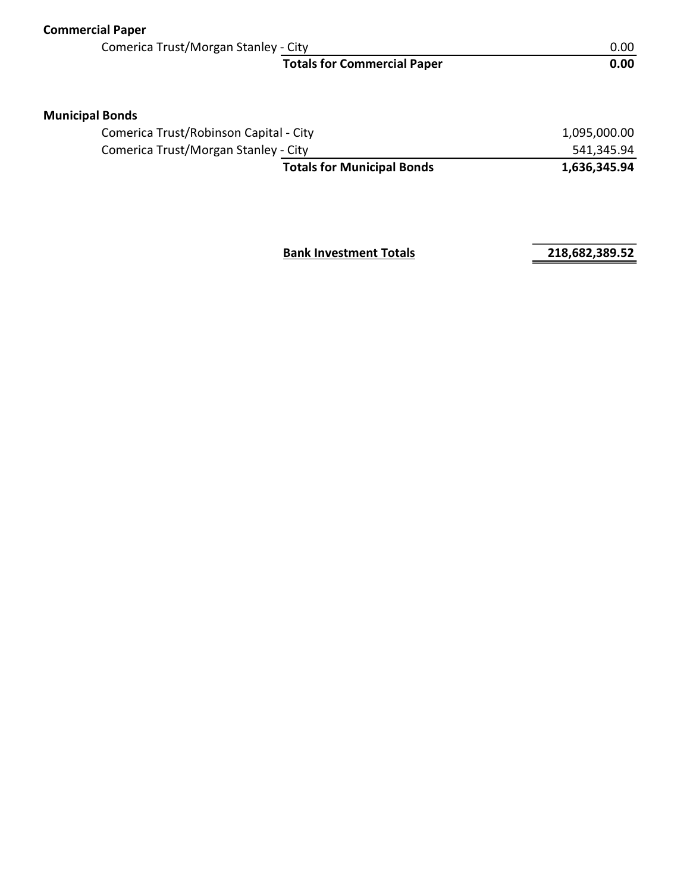| <b>Commercial Paper</b>                |              |
|----------------------------------------|--------------|
| Comerica Trust/Morgan Stanley - City   | 0.00         |
| <b>Totals for Commercial Paper</b>     | 0.00         |
| <b>Municipal Bonds</b>                 |              |
| Comerica Trust/Robinson Capital - City | 1,095,000.00 |
| Comerica Trust/Morgan Stanley - City   | 541,345.94   |
| <b>Totals for Municipal Bonds</b>      | 1,636,345.94 |
|                                        |              |
|                                        |              |

Bank Investment Totals 218,682,389.52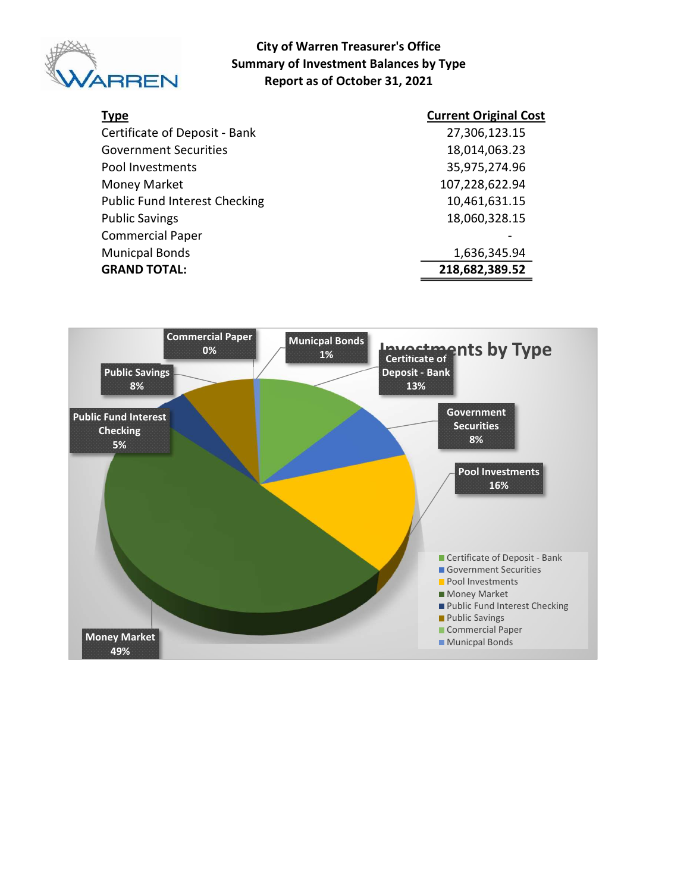

#### City of Warren Treasurer's Office Summary of Investment Balances by Type Report as of October 31, 2021

| <b>Type</b>                          | <b>Current Original Cost</b> |
|--------------------------------------|------------------------------|
| Certificate of Deposit - Bank        | 27,306,123.15                |
| <b>Government Securities</b>         | 18,014,063.23                |
| Pool Investments                     | 35,975,274.96                |
| Money Market                         | 107,228,622.94               |
| <b>Public Fund Interest Checking</b> | 10,461,631.15                |
| <b>Public Savings</b>                | 18,060,328.15                |
| <b>Commercial Paper</b>              |                              |
| <b>Municpal Bonds</b>                | 1,636,345.94                 |
| <b>GRAND TOTAL:</b>                  | 218,682,389.52               |

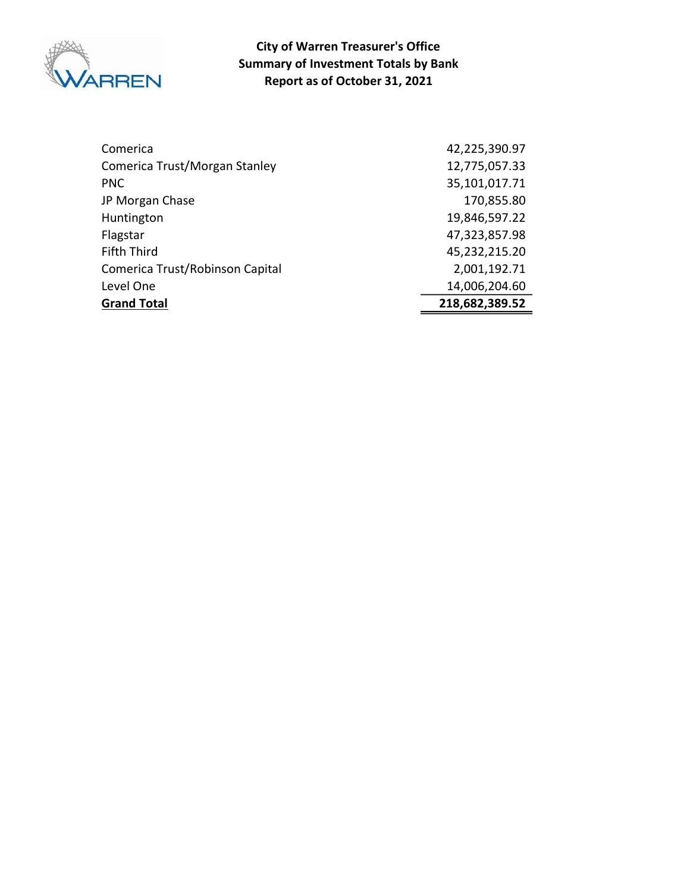

Report as of October 31, 2021 City of Warren Treasurer's Office Summary of Investment Totals by Bank

| Comerica                        | 42,225,390.97  |
|---------------------------------|----------------|
| Comerica Trust/Morgan Stanley   | 12,775,057.33  |
| <b>PNC</b>                      | 35,101,017.71  |
| JP Morgan Chase                 | 170,855.80     |
| Huntington                      | 19,846,597.22  |
| Flagstar                        | 47,323,857.98  |
| <b>Fifth Third</b>              | 45,232,215.20  |
| Comerica Trust/Robinson Capital | 2,001,192.71   |
| Level One                       | 14,006,204.60  |
| <b>Grand Total</b>              | 218,682,389.52 |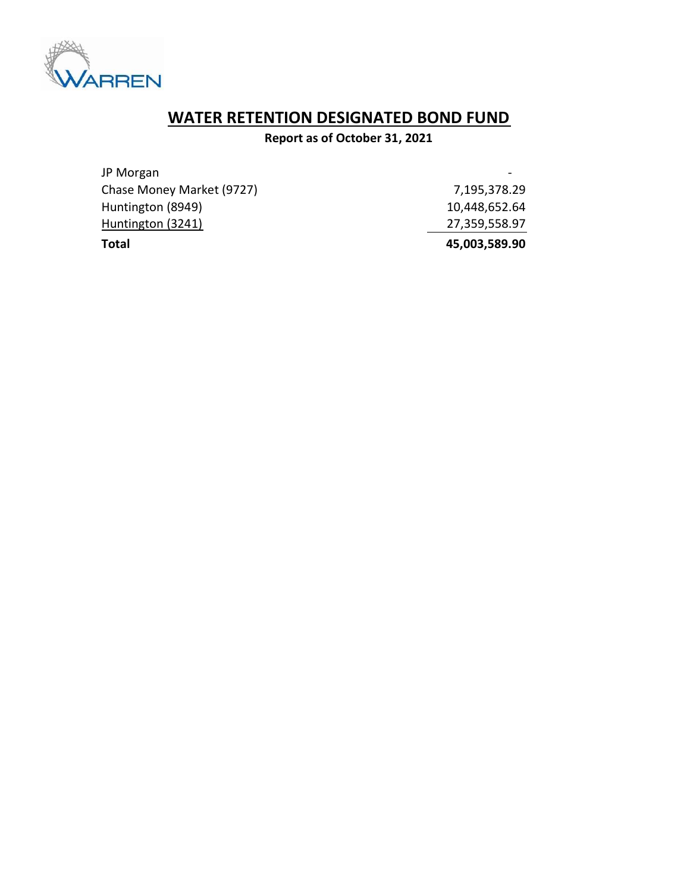

# WATER RETENTION DESIGNATED BOND FUND

Report as of October 31, 2021

| Total                     | 45,003,589.90 |
|---------------------------|---------------|
| Huntington (3241)         | 27,359,558.97 |
| Huntington (8949)         | 10,448,652.64 |
| Chase Money Market (9727) | 7,195,378.29  |
| JP Morgan                 |               |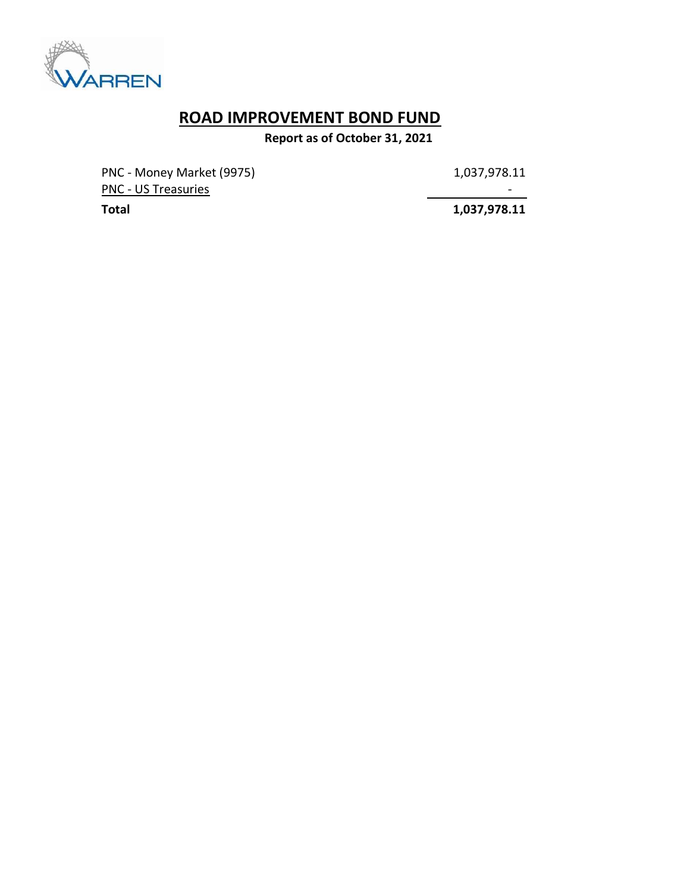

# ROAD IMPROVEMENT BOND FUND

Report as of October 31, 2021

PNC - Money Market (9975) 1,037,978.11 PNC - US Treasuries - Andreasuries - Andreasuries - Andreasuries - Andreasuries - Andreasuries - Andreasuries

Total 1,037,978.11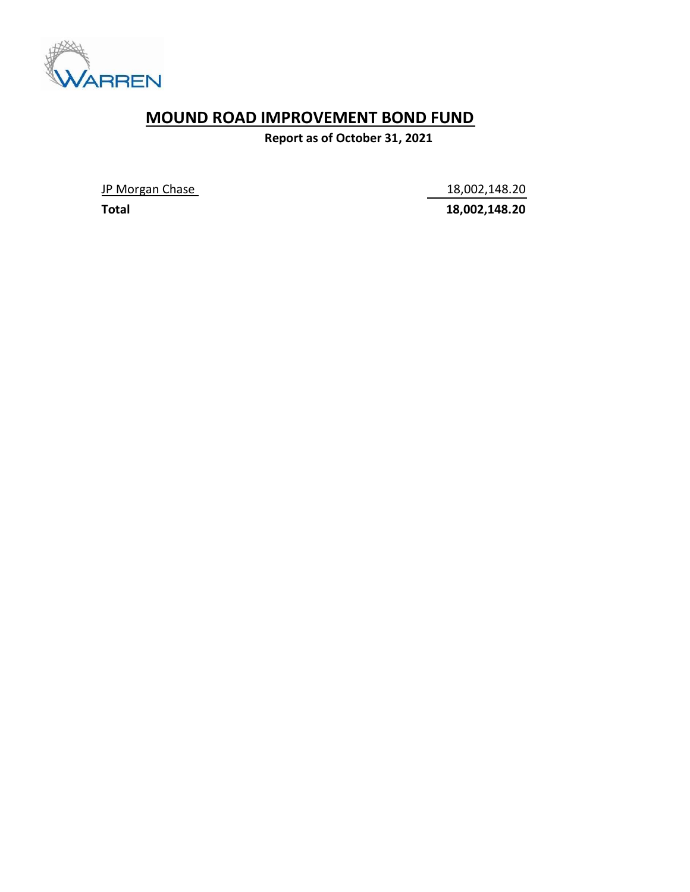

### MOUND ROAD IMPROVEMENT BOND FUND

Report as of October 31, 2021

JP Morgan Chase 18,002,148.20

Total 18,002,148.20